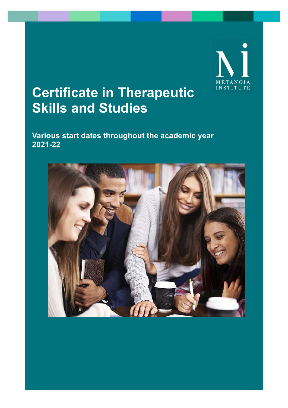# INSTITUTE

# **Certificate in Therapeutic Skills and Studies**

**Various start dates throughout the academic year 2021-22**

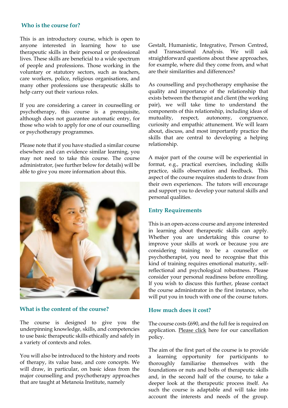#### **Who is the course for?**

This is an introductory course, which is open to anyone interested in learning how to use therapeutic skills in their personal or professional lives. These skills are beneficial to a wide spectrum of people and professions. Those working in the voluntary or statutory sectors, such as teachers, care workers, police, religious organisations, and many other professions use therapeutic skills to help carry out their various roles.

If you are considering a career in counselling or psychotherapy, this course is a prerequisite, although does not guarantee automatic entry, for those who wish to apply for one of our counselling or psychotherapy programmes.

Please note that if you have studied a similar course elsewhere and can evidence similar learning, you may not need to take this course. The course administrator, (see further below for details) will be able to give you more information about this.



#### **What is the content of the course?**

The course is designed to give you the underpinning knowledge, skills, and competencies to use basic therapeutic skills ethically and safely in a variety of contexts and roles.

You will also be introduced to the history and roots of therapy, its value base, and core concepts. We will draw, in particular, on basic ideas from the major counselling and psychotherapy approaches that are taught at Metanoia Institute, namely

Gestalt, Humanistic, Integrative, Person Centred, and Transactional Analysis. We will ask straightforward questions about these approaches, for example, where did they come from, and what are their similarities and differences?

As counselling and psychotherapy emphasise the quality and importance of the relationship that exists between the therapist and client (the working pair), we will take time to understand the components of this relationship, including ideas of mutuality, respect, autonomy, congruence, curiosity and empathic attunement. We will learn about, discuss, and most importantly practice the skills that are central to developing a helping relationship.

A major part of the course will be experiential in format, e.g., practical exercises, including skills practice, skills observation and feedback. This aspect of the course requires students to draw from their own experiences. The tutors will encourage and support you to develop your natural skills and personal qualities.

#### **Entry Requirements**

This is an open-access course and anyone interested in learning about therapeutic skills can apply. Whether you are undertaking this course to improve your skills at work or because you are considering training to be a counsellor or psychotherapist, you need to recognise that this kind of training requires emotional maturity, selfreflectional and psychological robustness. Please consider your personal readiness before enrolling. If you wish to discuss this further, please contact the course administrator in the first instance, who will put you in touch with one of the course tutors.

#### **How much does it cost?**

The course costs £690, and the full fee is required on application. [Please click](http://www.metanoia.ac.uk/media/1978/cancellation-policy.pdf) here for our cancellation policy.

The aim of the first part of the course is to provide a learning opportunity for participants to thoroughly familiarise themselves with the foundations or nuts and bolts of therapeutic skills and, in the second half of the course, to take a deeper look at the therapeutic process itself. As such the course is adaptable and will take into account the interests and needs of the group.